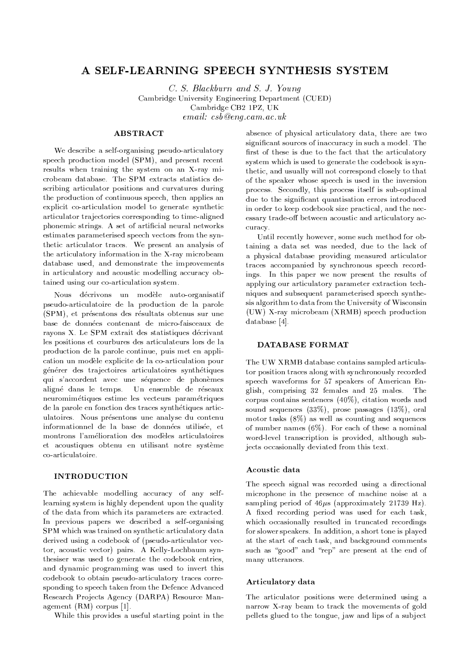# A SELF-LEARNING SPEECH SYNTHESIS SYSTEM

C. S. Blackburn and S. J. Young Cambridge University Engineering Department (CUED) Cambridge CB2 1PZ, UK  $email: csb@eng.cam.ac.uk$ 

# **ABSTRACT**

We describe a self-organising pseudo-articulatory speech production model (SPM), and present recent results when training the system on an X-ray microbeam database. The SPM extracts statistics describing articulator positions and curvatures during the production of continuous speech, then applies an explicit co-articulation model to generate synthetic articulator trajectories corresponding to time-aligned phonemic strings. A set of artificial neural networks estimates parameterised speech vectors from the synthetic articulator traces. We present an analysis of the articulatory information in the X-ray microbeam database used, and demonstrate the improvements in articulatory and acoustic modelling accuracy obtained using our co-articulation system.

Nous décrivons un modèle auto-organisatif pseudo-articulatoire de la production de la parole (SPM), et présentons des résultats obtenus sur une base de données contenant de micro-faisceaux de rayons X. Le SPM extrait des statistiques décrivant les positions et courbures des articulateurs lors de la production de la parole continue, puis met en application un modèle explicite de la co-articulation pour générer des trajectoires articulatoires synthétiques qui s'accordent avec une séquence de phonèmes aligné dans le temps. Un ensemble de réseaux neuromimétiques estime les vecteurs paramétriques de la parole en fonction des traces synthétiques articulatoires. Nous présentons une analyse du contenu informationnel de la base de données utilisée, et montrons l'amélioration des modèles articulatoires et acoustiques obtenu en utilisant notre système co-articulatoire.

#### **INTRODUCTION**

The achievable modelling accuracy of any selflearning system is highly dependent upon the quality of the data from which its parameters are extracted. In previous papers we described a self-organising SPM which was trained on synthetic articulatory data derived using a codebook of (pseudo-articulator vector, acoustic vector) pairs. A Kelly-Lochbaum synthesiser was used to generate the codebook entries, and dynamic programming was used to invert this codebook to obtain pseudo-articulatory traces corresponding to speech taken from the Defence Advanced Research Projects Agency (DARPA) Resource Management  $(RM)$  corpus [1].

While this provides a useful starting point in the

absence of physical articulatory data, there are two significant sources of inaccuracy in such a model. The first of these is due to the fact that the articulatory system which is used to generate the codebook is synthetic, and usually will not correspond closely to that of the speaker whose speech is used in the inversion process. Secondly, this process itself is sub-optimal due to the significant quantisation errors introduced in order to keep codebook size practical, and the necessary trade-off between acoustic and articulatory accuracy.

Until recently however, some such method for obtaining a data set was needed, due to the lack of a physical database providing measured articulator traces accompanied by synchronous speech recordings. In this paper we now present the results of applying our articulatory parameter extraction techniques and subsequent parameterised speech synthesis algorithm to data from the University of Wisconsin (UW) X-ray microbeam (XRMB) speech production database [4].

## **DATABASE FORMAT**

The UW XRMB database contains sampled articulator position traces along with synchronously recorded speech waveforms for 57 speakers of American English, comprising 32 females and 25 males. The corpus contains sentences  $(40\%)$ , citation words and sound sequences  $(33\%)$ , prose passages  $(13\%)$ , oral motor tasks (8%) as well as counting and sequences of number names  $(6\%)$ . For each of these a nominal word-level transcription is provided, although subjects occasionally deviated from this text.

#### Acoustic data

The speech signal was recorded using a directional microphone in the presence of machine noise at a sampling period of  $46\mu s$  (approximately 21739 Hz). A fixed recording period was used for each task, which occasionally resulted in truncated recordings for slower speakers. In addition, a short tone is played at the start of each task, and background comments such as "good" and "rep" are present at the end of many utterances.

## Articulatory data

The articulator positions were determined using a narrow X-ray beam to track the movements of gold pellets glued to the tongue, jaw and lips of a subject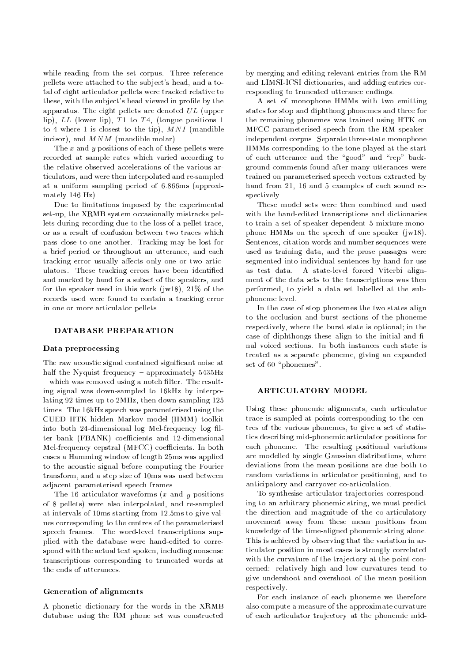while reading from the set corpus. Three reference pellets were attached to the subject's head, and a total of eight articulator pellets were tracked relative to these, with the subject's head viewed in profile by the apparatus. The eight pellets are denoted  $UL$  (upper lip), LL (lower lip), T1 to T4, (tongue positions 1 to 4 where 1 is closest to the tip),  $MNI$  (mandible incisor), and  $MNM$  (mandible molar).

The  $x$  and  $y$  positions of each of these pellets were recorded at sample rates which varied according to the relative observed accelerations of the various articulators, and were then interpolated and re-sampled at a uniform sampling period of 6.866ms (approximately 146 Hz).

Due to limitations imposed by the experimental set-up, the XRMB system occasionally mistracks pellets during recording due to the loss of a pellet trace, or as a result of confusion between two traces which pass close to one another. Tracking may be lost for a brief period or throughout an utterance, and each tracking error usually affects only one or two articulators. These tracking errors have been identified and marked by hand for a subset of the speakers, and for the speaker used in this work ( $i$ w18), 21\% of the records used were found to contain a tracking error in one or more articulator pellets.

#### **DATABASE PREPARATION**

## Data preprocessing

The raw acoustic signal contained significant noise at half the Nyquist frequency – approximately  $5435\text{Hz}$ - which was removed using a notch filter. The resulting signal was down-sampled to 16kHz by interpolating 92 times up to 2MHz, then down-sampling 125 times. The 16kHz speech was parameterised using the CUED HTK hidden Markov model (HMM) toolkit into both 24-dimensional log Mel-frequency log filter bank (FBANK) coefficients and 12-dimensional Mel-frequency cepstral (MFCC) coefficients. In both cases a Hamming window of length 25ms was applied to the acoustic signal before computing the Fourier transform, and a step size of 10ms was used between adjacent parameterised speech frames.

The 16 articulator waveforms  $(x$  and  $y$  positions of 8 pellets) were also interpolated, and re-sampled at intervals of 10ms starting from 12.5ms to give values corresponding to the centres of the parameterised speech frames. The word-level transcriptions supplied with the database were hand-edited to correspond with the actual text spoken, including nonsense transcriptions corresponding to truncated words at the ends of utterances.

## **Generation of alignments**

A phonetic dictionary for the words in the XRMB database using the RM phone set was constructed

by merging and editing relevant entries from the RM and LIMSI-ICSI dictionaries, and adding entries corresponding to truncated utterance endings.

A set of monophone HMMs with two emitting states for stop and diphthong phonemes and three for the remaining phonemes was trained using HTK on MFCC parameterised speech from the RM speakerindependent corpus. Separate three-state monophone HMMs corresponding to the tone played at the start of each utterance and the "good" and "rep" background comments found after many utterances were trained on parameterised speech vectors extracted by hand from 21, 16 and 5 examples of each sound respectively.

These model sets were then combined and used with the hand-edited transcriptions and dictionaries to train a set of speaker-dependent 5-mixture monophone HMMs on the speech of one speaker  $(iw18)$ . Sentences, citation words and number sequences were used as training data, and the prose passages were segmented into individual sentences by hand for use as test data. A state-level forced Viterbi alignment of the data sets to the transcriptions was then performed, to yield a data set labelled at the subphoneme level.

In the case of stop phonemes the two states align to the occlusion and burst sections of the phoneme respectively, where the burst state is optional; in the case of diphthongs these align to the initial and final voiced sections. In both instances each state is treated as a separate phoneme, giving an expanded set of 60 "phonemes".

## **ARTICULATORY MODEL**

Using these phonemic alignments, each articulator trace is sampled at points corresponding to the centres of the various phonemes, to give a set of statistics describing mid-phonemic articulator positions for each phoneme. The resulting positional variations are modelled by single Gaussian distributions, where deviations from the mean positions are due both to random variations in articulator positioning, and to anticipatory and carryover co-articulation.

To synthesise articulator trajectories corresponding to an arbitrary phonemic string, we must predict the direction and magnitude of the co-articulatory movement away from these mean positions from knowledge of the time-aligned phonemic string alone. This is achieved by observing that the variation in articulator position in most cases is strongly correlated with the curvature of the trajectory at the point concerned: relatively high and low curvatures tend to give undershoot and overshoot of the mean position respectively.

For each instance of each phoneme we therefore also compute a measure of the approximate curvature of each articulator trajectory at the phonemic mid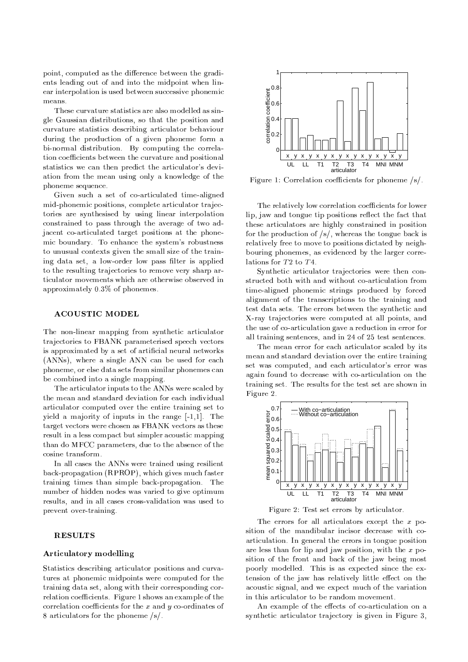point, computed as the difference between the gradients leading out of and into the midpoint when linear interpolation is used between successive phonemic means

These curvature statistics are also modelled as single Gaussian distributions, so that the position and curvature statistics describing articulator behaviour during the production of a given phoneme form a bi-normal distribution. By computing the correlation coefficients between the curvature and positional statistics we can then predict the articulator's deviation from the mean using only a knowledge of the phoneme sequence.

Given such a set of co-articulated time-aligned mid-phonemic positions, complete articulator trajectories are synthesised by using linear interpolation constrained to pass through the average of two adjacent co-articulated target positions at the phonemic boundary. To enhance the system's robustness to unusual contexts given the small size of the training data set, a low-order low pass filter is applied to the resulting trajectories to remove very sharp articulator movements which are otherwise observed in approximately 0.3% of phonemes.

## **ACOUSTIC MODEL**

The non-linear mapping from synthetic articulator trajectories to FBANK parameterised speech vectors is approximated by a set of artificial neural networks (ANNs), where a single ANN can be used for each phoneme, or else data sets from similar phonemes can be combined into a single mapping.

The articulator inputs to the ANNs were scaled by the mean and standard deviation for each individual articulator computed over the entire training set to yield a majority of inputs in the range  $[-1,1]$ . The target vectors were chosen as FBANK vectors as these result in a less compact but simpler acoustic mapping than do MFCC parameters, due to the absence of the cosine transform.

In all cases the ANNs were trained using resilient back-propagation (RPROP), which gives much faster training times than simple back-propagation. The number of hidden nodes was varied to give optimum results, and in all cases cross-validation was used to prevent over-training.

#### **RESULTS**

# **Articulatory modelling**

Statistics describing articulator positions and curvatures at phonemic midpoints were computed for the training data set, along with their corresponding correlation coefficients. Figure 1 shows an example of the correlation coefficients for the  $x$  and  $y$  co-ordinates of 8 articulators for the phoneme  $/s/$ .



Figure 1: Correlation coefficients for phoneme  $/s/$ .

The relatively low correlation coefficients for lower lip, jaw and tongue tip positions reflect the fact that these articulators are highly constrained in position for the production of  $/s/$ , whereas the tongue back is relatively free to move to positions dictated by neighbouring phonemes, as evidenced by the larger correlations for  $T2$  to  $T4$ .

Synthetic articulator trajectories were then constructed both with and without co-articulation from time-aligned phonemic strings produced by forced alignment of the transcriptions to the training and test data sets. The errors between the synthetic and X-ray trajectories were computed at all points, and the use of co-articulation gave a reduction in error for all training sentences, and in 24 of 25 test sentences.

The mean error for each articulator scaled by its mean and standard deviation over the entire training set was computed, and each articulator's error was again found to decrease with co-articulation on the training set. The results for the test set are shown in Figure 2.



Figure 2: Test set errors by articulator.

The errors for all articulators except the  $x$  position of the mandibular incisor decrease with coarticulation. In general the errors in tongue position are less than for lip and jaw position, with the  $x$  position of the front and back of the jaw being most poorly modelled. This is as expected since the extension of the jaw has relatively little effect on the acoustic signal, and we expect much of the variation in this articulator to be random movement.

An example of the effects of co-articulation on a synthetic articulator trajectory is given in Figure 3.